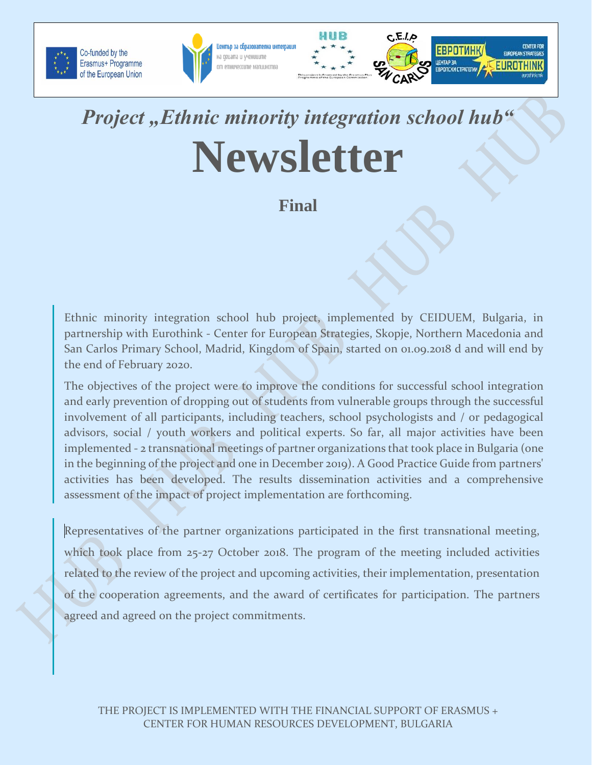





**ЕВРОТИНК** 

**EBPONCKW CTPATETWA** 

**LIEHTAP 3A** 

**EUROPEAN STRATEGIE** 

EUROTHINK

## Project "Ethnic minority integration school hub" **Newsletter**

**Final**

Ethnic minority integration school hub project, implemented by CEIDUEM, Bulgaria, in partnership with Eurothink - Center for European Strategies, Skopje, Northern Macedonia and San Carlos Primary School, Madrid, Kingdom of Spain, started on 01.09.2018 d and will end by the end of February 2020.

The objectives of the project were to improve the conditions for successful school integration and early prevention of dropping out of students from vulnerable groups through the successful involvement of all participants, including teachers, school psychologists and / or pedagogical advisors, social / youth workers and political experts. So far, all major activities have been implemented - 2 transnational meetings of partner organizations that took place in Bulgaria (one in the beginning of the project and one in December 2019). A Good Practice Guide from partners' activities has been developed. The results dissemination activities and a comprehensive assessment of the impact of project implementation are forthcoming.

Representatives of the partner organizations participated in the first transnational meeting, which took place from 25-27 October 2018. The program of the meeting included activities related to the review of the project and upcoming activities, their implementation, presentation of the cooperation agreements, and the award of certificates for participation. The partners agreed and agreed on the project commitments.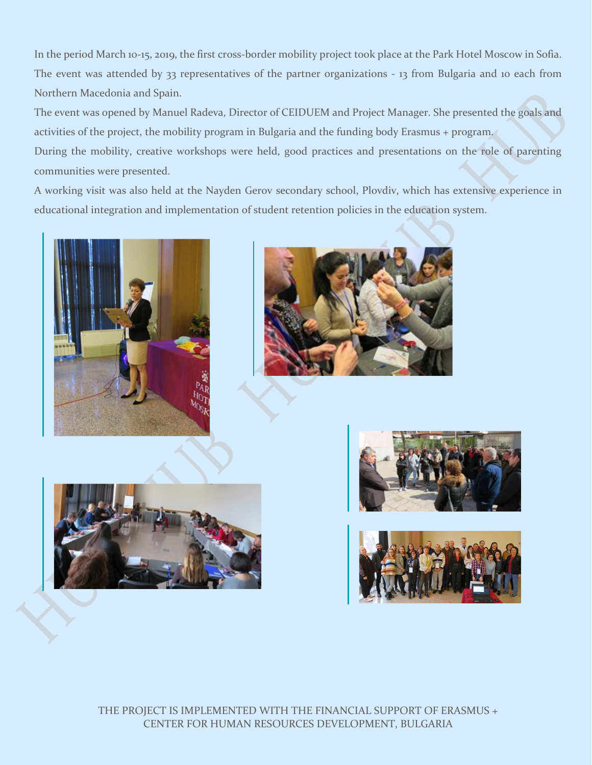In the period March 10-15, 2019, the first cross-border mobility project took place at the Park Hotel Moscow in Sofia. The event was attended by 33 representatives of the partner organizations - 13 from Bulgaria and 10 each from Northern Macedonia and Spain.

The event was opened by Manuel Radeva, Director of CEIDUEM and Project Manager. She presented the goals and activities of the project, the mobility program in Bulgaria and the funding body Erasmus + program.

During the mobility, creative workshops were held, good practices and presentations on the role of parenting communities were presented.

A working visit was also held at the Nayden Gerov secondary school, Plovdiv, which has extensive experience in educational integration and implementation of student retention policies in the education system.











THE PROJECT IS IMPLEMENTED WITH THE FINANCIAL SUPPORT OF ERASMUS + CENTER FOR HUMAN RESOURCES DEVELOPMENT, BULGARIA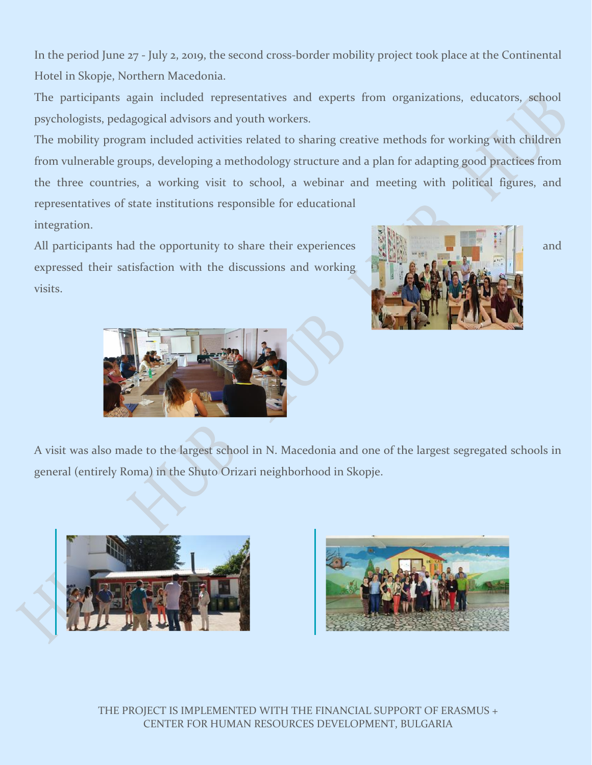In the period June 27 - July 2, 2019, the second cross-border mobility project took place at the Continental Hotel in Skopje, Northern Macedonia.

The participants again included representatives and experts from organizations, educators, school psychologists, pedagogical advisors and youth workers.

The mobility program included activities related to sharing creative methods for working with children from vulnerable groups, developing a methodology structure and a plan for adapting good practices from the three countries, a working visit to school, a webinar and meeting with political figures, and representatives of state institutions responsible for educational integration.

All participants had the opportunity to share their experiences and  $\mathbb{R}$  and  $\mathbb{R}$  and expressed their satisfaction with the discussions and working visits.





A visit was also made to the largest school in N. Macedonia and one of the largest segregated schools in general (entirely Roma) in the Shuto Orizari neighborhood in Skopje.





THE PROJECT IS IMPLEMENTED WITH THE FINANCIAL SUPPORT OF ERASMUS + CENTER FOR HUMAN RESOURCES DEVELOPMENT, BULGARIA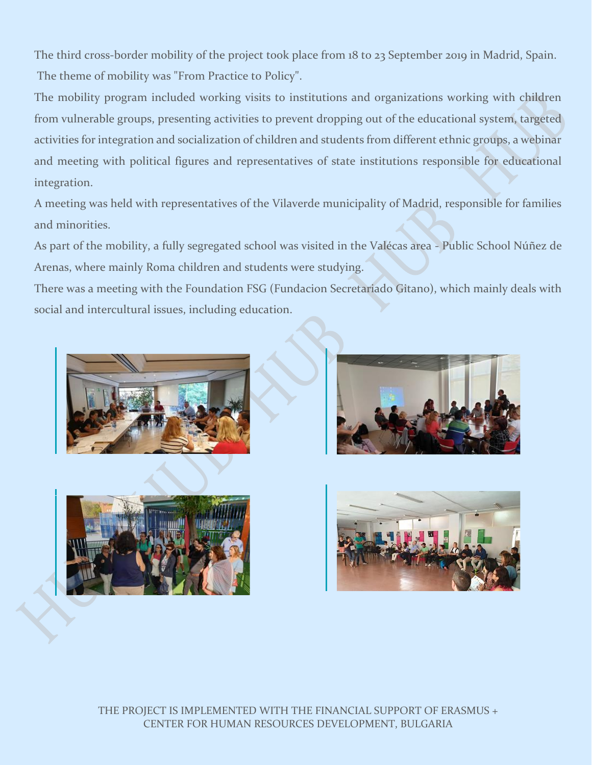The third cross-border mobility of the project took place from 18 to 23 September 2019 in Madrid, Spain. The theme of mobility was "From Practice to Policy".

The mobility program included working visits to institutions and organizations working with children from vulnerable groups, presenting activities to prevent dropping out of the educational system, targeted activities for integration and socialization of children and students from different ethnic groups, a webinar and meeting with political figures and representatives of state institutions responsible for educational integration.

A meeting was held with representatives of the Vilaverde municipality of Madrid, responsible for families and minorities.

As part of the mobility, a fully segregated school was visited in the Valécas area - Public School Núñez de Arenas, where mainly Roma children and students were studying.

There was a meeting with the Foundation FSG (Fundacion Secretariado Gitano), which mainly deals with social and intercultural issues, including education.







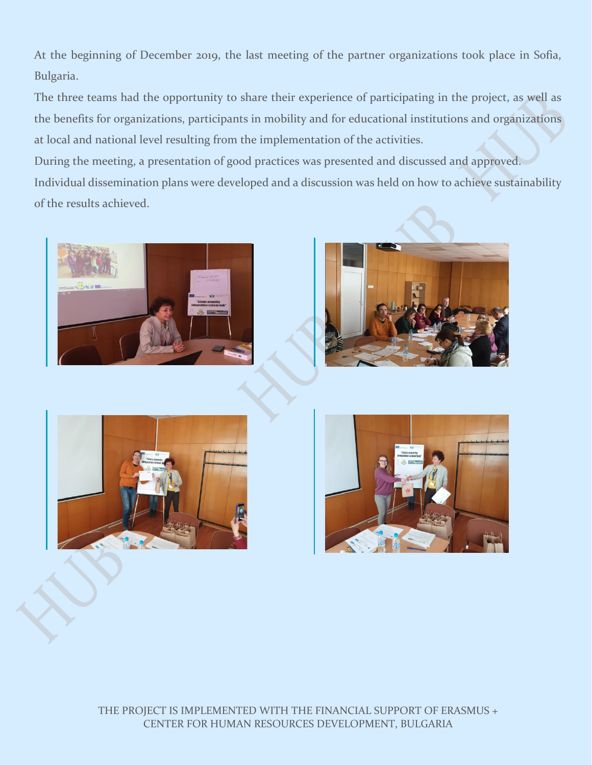At the beginning of December 2019, the last meeting of the partner organizations took place in Sofia, Bulgaria.

The three teams had the opportunity to share their experience of participating in the project, as well as the benefits for organizations, participants in mobility and for educational institutions and organizations at local and national level resulting from the implementation of the activities.

During the meeting, a presentation of good practices was presented and discussed and approved. Individual dissemination plans were developed and a discussion was held on how to achieve sustainability of the results achieved.